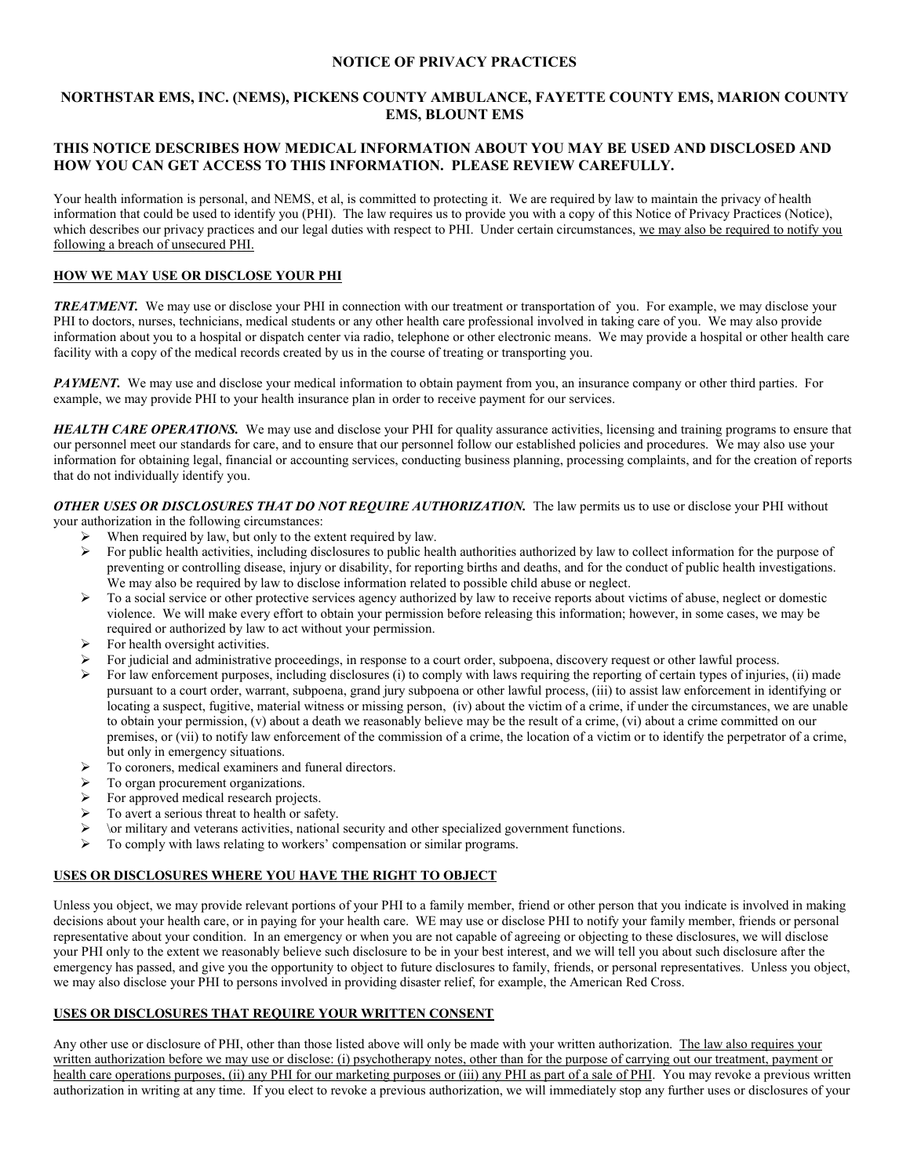### **NOTICE OF PRIVACY PRACTICES**

## **NORTHSTAR EMS, INC. (NEMS), PICKENS COUNTY AMBULANCE, FAYETTE COUNTY EMS, MARION COUNTY EMS, BLOUNT EMS**

## **THIS NOTICE DESCRIBES HOW MEDICAL INFORMATION ABOUT YOU MAY BE USED AND DISCLOSED AND HOW YOU CAN GET ACCESS TO THIS INFORMATION. PLEASE REVIEW CAREFULLY.**

Your health information is personal, and NEMS, et al, is committed to protecting it. We are required by law to maintain the privacy of health information that could be used to identify you (PHI). The law requires us to provide you with a copy of this Notice of Privacy Practices (Notice), which describes our privacy practices and our legal duties with respect to PHI. Under certain circumstances, we may also be required to notify you following a breach of unsecured PHI.

## **HOW WE MAY USE OR DISCLOSE YOUR PHI**

*TREATMENT.* We may use or disclose your PHI in connection with our treatment or transportation of you. For example, we may disclose your PHI to doctors, nurses, technicians, medical students or any other health care professional involved in taking care of you. We may also provide information about you to a hospital or dispatch center via radio, telephone or other electronic means. We may provide a hospital or other health care facility with a copy of the medical records created by us in the course of treating or transporting you.

**PAYMENT.** We may use and disclose your medical information to obtain payment from you, an insurance company or other third parties. For example, we may provide PHI to your health insurance plan in order to receive payment for our services.

**HEALTH CARE OPERATIONS.** We may use and disclose your PHI for quality assurance activities, licensing and training programs to ensure that our personnel meet our standards for care, and to ensure that our personnel follow our established policies and procedures. We may also use your information for obtaining legal, financial or accounting services, conducting business planning, processing complaints, and for the creation of reports that do not individually identify you.

*OTHER USES OR DISCLOSURES THAT DO NOT REQUIRE AUTHORIZATION.* The law permits us to use or disclose your PHI without

- your authorization in the following circumstances:<br> $\triangleright$  When required by law but only to the ex- When required by law, but only to the extent required by law.
	- $\triangleright$  For public health activities, including disclosures to public health authorities authorized by law to collect information for the purpose of preventing or controlling disease, injury or disability, for reporting births and deaths, and for the conduct of public health investigations. We may also be required by law to disclose information related to possible child abuse or neglect.
	- $\triangleright$  To a social service or other protective services agency authorized by law to receive reports about victims of abuse, neglect or domestic violence. We will make every effort to obtain your permission before releasing this information; however, in some cases, we may be required or authorized by law to act without your permission.
	- For health oversight activities.
	- For judicial and administrative proceedings, in response to a court order, subpoena, discovery request or other lawful process.
	- For law enforcement purposes, including disclosures (i) to comply with laws requiring the reporting of certain types of injuries, (ii) made pursuant to a court order, warrant, subpoena, grand jury subpoena or other lawful process, (iii) to assist law enforcement in identifying or locating a suspect, fugitive, material witness or missing person, (iv) about the victim of a crime, if under the circumstances, we are unable to obtain your permission, (v) about a death we reasonably believe may be the result of a crime, (vi) about a crime committed on our premises, or (vii) to notify law enforcement of the commission of a crime, the location of a victim or to identify the perpetrator of a crime, but only in emergency situations.
	- $\triangleright$  To coroners, medical examiners and funeral directors.
	- $\triangleright$  To organ procurement organizations.
	- For approved medical research projects.
	- $\triangleright$  To avert a serious threat to health or safety.
	- $\triangleright$  \or military and veterans activities, national security and other specialized government functions.
	- $\triangleright$  To comply with laws relating to workers' compensation or similar programs.

# **USES OR DISCLOSURES WHERE YOU HAVE THE RIGHT TO OBJECT**

Unless you object, we may provide relevant portions of your PHI to a family member, friend or other person that you indicate is involved in making decisions about your health care, or in paying for your health care. WE may use or disclose PHI to notify your family member, friends or personal representative about your condition. In an emergency or when you are not capable of agreeing or objecting to these disclosures, we will disclose your PHI only to the extent we reasonably believe such disclosure to be in your best interest, and we will tell you about such disclosure after the emergency has passed, and give you the opportunity to object to future disclosures to family, friends, or personal representatives. Unless you object, we may also disclose your PHI to persons involved in providing disaster relief, for example, the American Red Cross.

## **USES OR DISCLOSURES THAT REQUIRE YOUR WRITTEN CONSENT**

Any other use or disclosure of PHI, other than those listed above will only be made with your written authorization. The law also requires your written authorization before we may use or disclose: (i) psychotherapy notes, other than for the purpose of carrying out our treatment, payment or health care operations purposes, (ii) any PHI for our marketing purposes or (iii) any PHI as part of a sale of PHI. You may revoke a previous written authorization in writing at any time. If you elect to revoke a previous authorization, we will immediately stop any further uses or disclosures of your